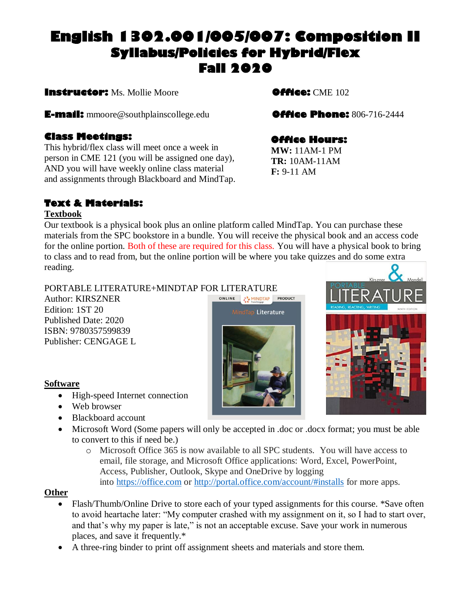# **English 1302.001/005/007: Composition II Syllabus/Policies for Hybrid/Flex Fall 2020**

**Instructor:** Ms. Mollie Moore **Office:** CME 102

**E-mail:** mmoore@southplainscollege.edu**Office Phone:** 806-716-2444

### **Class Meetings:**

This hybrid/flex class will meet once a week in person in CME 121 (you will be assigned one day), AND you will have weekly online class material and assignments through Blackboard and MindTap.

## **Text & Materials:**

#### **Textbook**

Our textbook is a physical book plus an online platform called MindTap. You can purchase these materials from the SPC bookstore in a bundle. You will receive the physical book and an access code for the online portion. Both of these are required for this class. You will have a physical book to bring to class and to read from, but the online portion will be where you take quizzes and do some extra reading.

> ONLINE COMMINDTAP PRODUCT MindTapi Literature

#### PORTABLE LITERATURE+MINDTAP FOR LITERATURE

Author: KIRSZNER Edition: 1ST 20 Published Date: 2020 ISBN: 9780357599839 Publisher: CENGAGE L

#### **Software**

- High-speed Internet connection
- Web browser
- Blackboard account
- Microsoft Word (Some papers will only be accepted in .doc or .docx format; you must be able to convert to this if need be.)
	- o Microsoft Office 365 is now available to all SPC students. You will have access to email, file storage, and Microsoft Office applications: Word, Excel, PowerPoint, Access, Publisher, Outlook, Skype and OneDrive by logging into [https://office.com](https://office.com/) or <http://portal.office.com/account/#installs> for more apps.

#### **Other**

- Flash/Thumb/Online Drive to store each of your typed assignments for this course. \*Save often to avoid heartache later: "My computer crashed with my assignment on it, so I had to start over, and that's why my paper is late," is not an acceptable excuse. Save your work in numerous places, and save it frequently.\*
- A three-ring binder to print off assignment sheets and materials and store them.



## **Office Hours:**

**MW:** 11AM-1 PM **TR:** 10AM-11AM **F:** 9-11 AM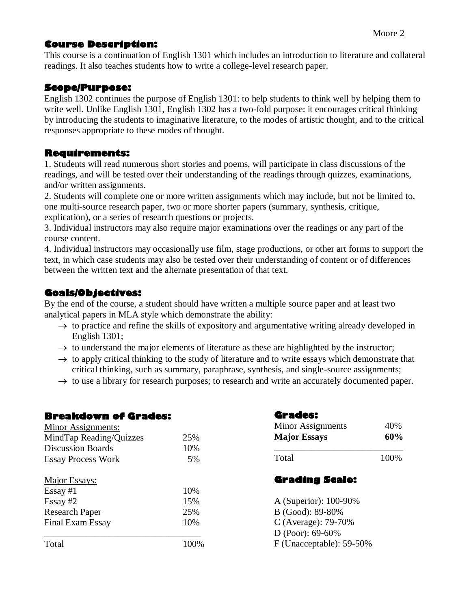### **Course Description:**

This course is a continuation of English 1301 which includes an introduction to literature and collateral readings. It also teaches students how to write a college-level research paper.

#### **Scope/Purpose:**

English 1302 continues the purpose of English 1301: to help students to think well by helping them to write well. Unlike English 1301, English 1302 has a two-fold purpose: it encourages critical thinking by introducing the students to imaginative literature, to the modes of artistic thought, and to the critical responses appropriate to these modes of thought.

#### **Requirements:**

1. Students will read numerous short stories and poems, will participate in class discussions of the readings, and will be tested over their understanding of the readings through quizzes, examinations, and/or written assignments.

2. Students will complete one or more written assignments which may include, but not be limited to, one multi-source research paper, two or more shorter papers (summary, synthesis, critique, explication), or a series of research questions or projects.

3. Individual instructors may also require major examinations over the readings or any part of the course content.

4. Individual instructors may occasionally use film, stage productions, or other art forms to support the text, in which case students may also be tested over their understanding of content or of differences between the written text and the alternate presentation of that text.

### **Goals/Objectives:**

By the end of the course, a student should have written a multiple source paper and at least two analytical papers in MLA style which demonstrate the ability:

- $\rightarrow$  to practice and refine the skills of expository and argumentative writing already developed in English 1301;
- $\rightarrow$  to understand the major elements of literature as these are highlighted by the instructor;
- $\rightarrow$  to apply critical thinking to the study of literature and to write essays which demonstrate that critical thinking, such as summary, paraphrase, synthesis, and single-source assignments;
- $\rightarrow$  to use a library for research purposes; to research and write an accurately documented paper.

| <b>Breakdown of Grades:</b> |     |
|-----------------------------|-----|
| <b>Minor Assignments:</b>   |     |
| MindTap Reading/Quizzes     | 25% |
| <b>Discussion Boards</b>    | 10% |
| <b>Essay Process Work</b>   | 5%  |
| Major Essays:               |     |
| $Essay \#1$                 | 10% |
| Essay $#2$                  | 15% |
| <b>Research Paper</b>       | 25% |
| <b>Final Exam Essay</b>     | 10% |
| Total                       |     |

| <b>Minor Assignments</b>                  | 40%  |
|-------------------------------------------|------|
| <b>Major Essays</b>                       | 60%  |
| Total                                     | 100% |
|                                           |      |
|                                           |      |
| <b>Grading Scale:</b>                     |      |
| A (Superior): 100-90%                     |      |
| B (Good): 89-80%                          |      |
| C (Average): 79-70%<br>$D (Poor): 69-60%$ |      |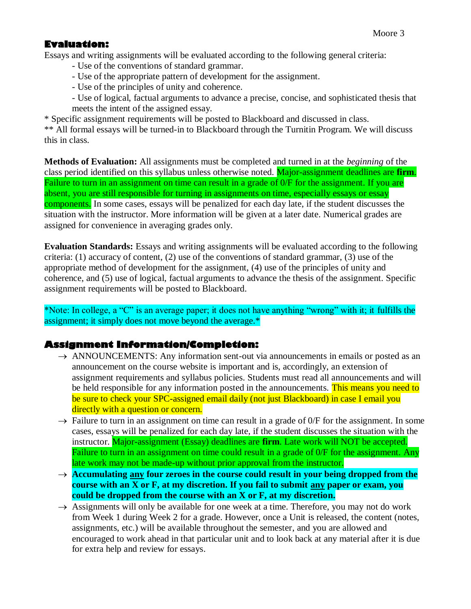#### **Evaluation:**

Essays and writing assignments will be evaluated according to the following general criteria:

- Use of the conventions of standard grammar.
- Use of the appropriate pattern of development for the assignment.
- Use of the principles of unity and coherence.
- Use of logical, factual arguments to advance a precise, concise, and sophisticated thesis that meets the intent of the assigned essay.

\* Specific assignment requirements will be posted to Blackboard and discussed in class.

\*\* All formal essays will be turned-in to Blackboard through the Turnitin Program. We will discuss this in class.

**Methods of Evaluation:** All assignments must be completed and turned in at the *beginning* of the class period identified on this syllabus unless otherwise noted. Major-assignment deadlines are **firm**. Failure to turn in an assignment on time can result in a grade of 0/F for the assignment. If you are absent, you are still responsible for turning in assignments on time, especially essays or essay components. In some cases, essays will be penalized for each day late, if the student discusses the situation with the instructor. More information will be given at a later date. Numerical grades are assigned for convenience in averaging grades only.

**Evaluation Standards:** Essays and writing assignments will be evaluated according to the following criteria: (1) accuracy of content, (2) use of the conventions of standard grammar, (3) use of the appropriate method of development for the assignment, (4) use of the principles of unity and coherence, and (5) use of logical, factual arguments to advance the thesis of the assignment. Specific assignment requirements will be posted to Blackboard.

\*Note: In college, a "C" is an average paper; it does not have anything "wrong" with it; it fulfills the assignment; it simply does not move beyond the average.\*

#### **Assignment Information/Completion:**

- $\rightarrow$  ANNOUNCEMENTS: Any information sent-out via announcements in emails or posted as an announcement on the course website is important and is, accordingly, an extension of assignment requirements and syllabus policies. Students must read all announcements and will be held responsible for any information posted in the announcements. This means you need to be sure to check your SPC-assigned email daily (not just Blackboard) in case I email you directly with a question or concern.
- $\rightarrow$  Failure to turn in an assignment on time can result in a grade of  $0/F$  for the assignment. In some cases, essays will be penalized for each day late, if the student discusses the situation with the instructor. Major-assignment (Essay) deadlines are **firm**. Late work will NOT be accepted. Failure to turn in an assignment on time could result in a grade of  $0/F$  for the assignment. Any late work may not be made-up without prior approval from the instructor.
- → **Accumulating any four zeroes in the course could result in your being dropped from the course with an X or F, at my discretion. If you fail to submit any paper or exam, you could be dropped from the course with an X or F, at my discretion.**
- $\rightarrow$  Assignments will only be available for one week at a time. Therefore, you may not do work from Week 1 during Week 2 for a grade. However, once a Unit is released, the content (notes, assignments, etc.) will be available throughout the semester, and you are allowed and encouraged to work ahead in that particular unit and to look back at any material after it is due for extra help and review for essays.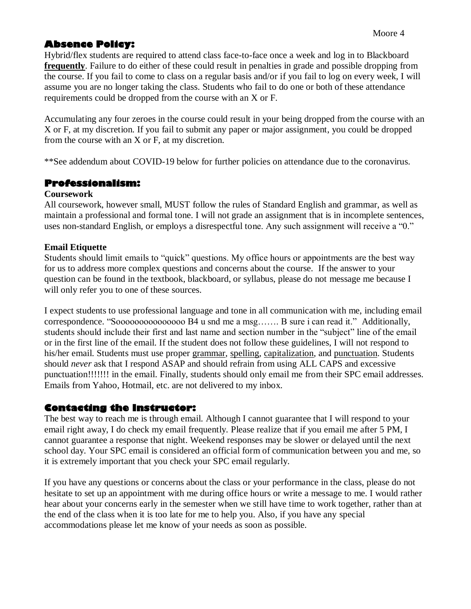### **Absence Policy:**

Hybrid/flex students are required to attend class face-to-face once a week and log in to Blackboard **frequently**. Failure to do either of these could result in penalties in grade and possible dropping from the course. If you fail to come to class on a regular basis and/or if you fail to log on every week, I will assume you are no longer taking the class. Students who fail to do one or both of these attendance requirements could be dropped from the course with an X or F.

Accumulating any four zeroes in the course could result in your being dropped from the course with an X or F, at my discretion. If you fail to submit any paper or major assignment, you could be dropped from the course with an X or F, at my discretion.

\*\*See addendum about COVID-19 below for further policies on attendance due to the coronavirus.

#### **Professionalism:**

#### **Coursework**

All coursework, however small, MUST follow the rules of Standard English and grammar, as well as maintain a professional and formal tone. I will not grade an assignment that is in incomplete sentences, uses non-standard English, or employs a disrespectful tone. Any such assignment will receive a "0."

#### **Email Etiquette**

Students should limit emails to "quick" questions. My office hours or appointments are the best way for us to address more complex questions and concerns about the course. If the answer to your question can be found in the textbook, blackboard, or syllabus, please do not message me because I will only refer you to one of these sources.

I expect students to use professional language and tone in all communication with me, including email correspondence. "Sooooooooooooooo B4 u snd me a msg……. B sure i can read it." Additionally, students should include their first and last name and section number in the "subject" line of the email or in the first line of the email. If the student does not follow these guidelines, I will not respond to his/her email. Students must use proper grammar, spelling, capitalization, and punctuation. Students should *never* ask that I respond ASAP and should refrain from using ALL CAPS and excessive punctuation!!!!!!! in the email. Finally, students should only email me from their SPC email addresses. Emails from Yahoo, Hotmail, etc. are not delivered to my inbox.

#### **Contacting the Instructor:**

The best way to reach me is through email. Although I cannot guarantee that I will respond to your email right away, I do check my email frequently. Please realize that if you email me after 5 PM, I cannot guarantee a response that night. Weekend responses may be slower or delayed until the next school day. Your SPC email is considered an official form of communication between you and me, so it is extremely important that you check your SPC email regularly.

If you have any questions or concerns about the class or your performance in the class, please do not hesitate to set up an appointment with me during office hours or write a message to me. I would rather hear about your concerns early in the semester when we still have time to work together, rather than at the end of the class when it is too late for me to help you. Also, if you have any special accommodations please let me know of your needs as soon as possible.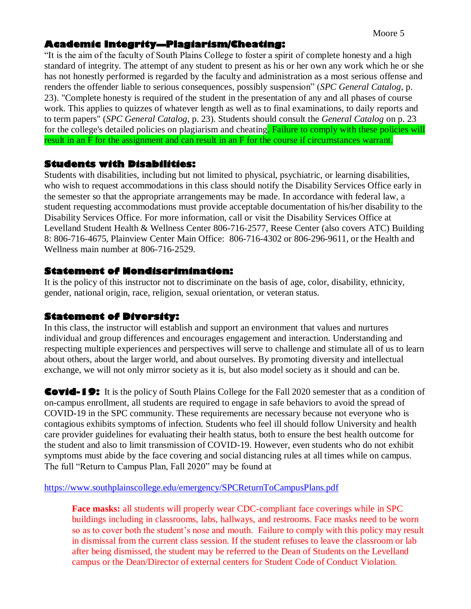#### **Academic Integrity—Plagiarism/Cheating:**

"It is the aim of the faculty of South Plains College to foster a spirit of complete honesty and a high standard of integrity. The attempt of any student to present as his or her own any work which he or she has not honestly performed is regarded by the faculty and administration as a most serious offense and renders the offender liable to serious consequences, possibly suspension" (*SPC General Catalog*, p. 23). "Complete honesty is required of the student in the presentation of any and all phases of course work. This applies to quizzes of whatever length as well as to final examinations, to daily reports and to term papers" (*SPC General Catalog*, p. 23). Students should consult the *General Catalog* on p. 23 for the college's detailed policies on plagiarism and cheating. Failure to comply with these policies will result in an F for the assignment and can result in an F for the course if circumstances warrant.

#### **Students with Disabilities:**

Students with disabilities, including but not limited to physical, psychiatric, or learning disabilities, who wish to request accommodations in this class should notify the Disability Services Office early in the semester so that the appropriate arrangements may be made. In accordance with federal law, a student requesting accommodations must provide acceptable documentation of his/her disability to the Disability Services Office. For more information, call or visit the Disability Services Office at Levelland Student Health & Wellness Center 806-716-2577, Reese Center (also covers ATC) Building 8: 806-716-4675, Plainview Center Main Office: 806-716-4302 or 806-296-9611, or the Health and Wellness main number at 806-716-2529.

#### **Statement of Nondiscrimination:**

It is the policy of this instructor not to discriminate on the basis of age, color, disability, ethnicity, gender, national origin, race, religion, sexual orientation, or veteran status.

#### **Statement of Diversity:**

In this class, the instructor will establish and support an environment that values and nurtures individual and group differences and encourages engagement and interaction. Understanding and respecting multiple experiences and perspectives will serve to challenge and stimulate all of us to learn about others, about the larger world, and about ourselves. By promoting diversity and intellectual exchange, we will not only mirror society as it is, but also model society as it should and can be.

**Covid-19:** It is the policy of South Plains College for the Fall 2020 semester that as a condition of on-campus enrollment, all students are required to engage in safe behaviors to avoid the spread of COVID-19 in the SPC community. These requirements are necessary because not everyone who is contagious exhibits symptoms of infection. Students who feel ill should follow University and health care provider guidelines for evaluating their health status, both to ensure the best health outcome for the student and also to limit transmission of COVID-19. However, even students who do not exhibit symptoms must abide by the face covering and social distancing rules at all times while on campus. The full "Return to Campus Plan, Fall 2020" may be found at

[https://www.southplainscollege.edu/emergency/SPCReturnToCampusPlans.pdf](https://nam02.safelinks.protection.outlook.com/?url=https%3A%2F%2Fwww.southplainscollege.edu%2Femergency%2FSPCReturnToCampusPlans.pdf&data=01%7C01%7Cmmoore%40southplainscollege.edu%7C10ac11f00eee476d5ec008d8396905af%7C6d91b166cf6a45e99e22a02625d082a9%7C0&sdata=who%2FNDvlg7FM47CHoybyd%2Fj5TXs1824NQfmHXcnEnJc%3D&reserved=0)

**Face masks:** all students will properly wear CDC-compliant face coverings while in SPC buildings including in classrooms, labs, hallways, and restrooms. Face masks need to be worn so as to cover both the student's nose and mouth. Failure to comply with this policy may result in dismissal from the current class session. If the student refuses to leave the classroom or lab after being dismissed, the student may be referred to the Dean of Students on the Levelland campus or the Dean/Director of external centers for Student Code of Conduct Violation.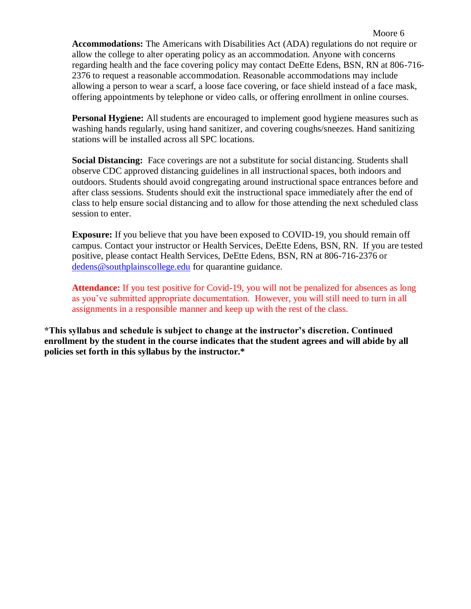**Accommodations:** The Americans with Disabilities Act (ADA) regulations do not require or allow the college to alter operating policy as an accommodation. Anyone with concerns regarding health and the face covering policy may contact DeEtte Edens, BSN, RN at 806-716- 2376 to request a reasonable accommodation. Reasonable accommodations may include allowing a person to wear a scarf, a loose face covering, or face shield instead of a face mask, offering appointments by telephone or video calls, or offering enrollment in online courses.

**Personal Hygiene:** All students are encouraged to implement good hygiene measures such as washing hands regularly, using hand sanitizer, and covering coughs/sneezes. Hand sanitizing stations will be installed across all SPC locations.

**Social Distancing:** Face coverings are not a substitute for social distancing. Students shall observe CDC approved distancing guidelines in all instructional spaces, both indoors and outdoors. Students should avoid congregating around instructional space entrances before and after class sessions. Students should exit the instructional space immediately after the end of class to help ensure social distancing and to allow for those attending the next scheduled class session to enter.

**Exposure:** If you believe that you have been exposed to COVID-19, you should remain off campus. Contact your instructor or Health Services, DeEtte Edens, BSN, RN. If you are tested positive, please contact Health Services, DeEtte Edens, BSN, RN at 806-716-2376 or [dedens@southplainscollege.edu](mailto:dedens@southplainscollege.edu) for quarantine guidance.

Attendance: If you test positive for Covid-19, you will not be penalized for absences as long as you've submitted appropriate documentation. However, you will still need to turn in all assignments in a responsible manner and keep up with the rest of the class.

**\*This syllabus and schedule is subject to change at the instructor's discretion. Continued enrollment by the student in the course indicates that the student agrees and will abide by all policies set forth in this syllabus by the instructor.\***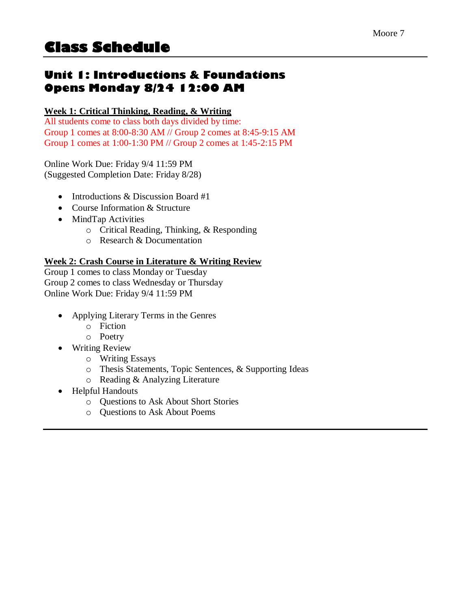## **Unit 1: Introductions & Foundations Opens Monday 8/24 12:00 AM**

#### **Week 1: Critical Thinking, Reading, & Writing**

All students come to class both days divided by time: Group 1 comes at 8:00-8:30 AM // Group 2 comes at 8:45-9:15 AM Group 1 comes at 1:00-1:30 PM // Group 2 comes at 1:45-2:15 PM

Online Work Due: Friday 9/4 11:59 PM (Suggested Completion Date: Friday 8/28)

- Introductions & Discussion Board #1
- Course Information & Structure
- MindTap Activities
	- o Critical Reading, Thinking, & Responding
	- o Research & Documentation

#### **Week 2: Crash Course in Literature & Writing Review**

Group 1 comes to class Monday or Tuesday Group 2 comes to class Wednesday or Thursday Online Work Due: Friday 9/4 11:59 PM

- Applying Literary Terms in the Genres
	- o Fiction
	- o Poetry
- Writing Review
	- o Writing Essays
	- o Thesis Statements, Topic Sentences, & Supporting Ideas
	- o Reading & Analyzing Literature
- Helpful Handouts
	- o Questions to Ask About Short Stories
	- o Questions to Ask About Poems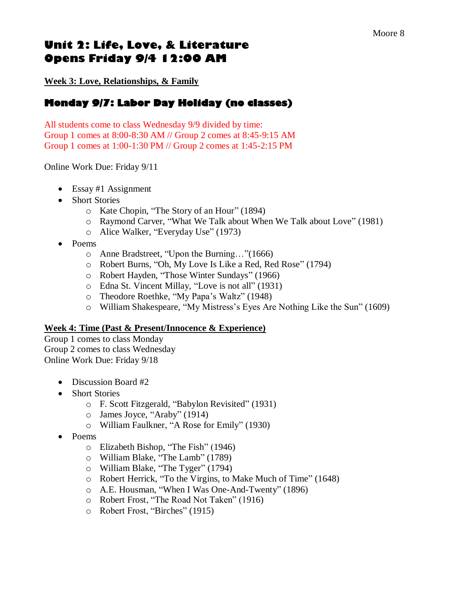## **Unit 2: Life, Love, & Literature Opens Friday 9/4 12:00 AM**

**Week 3: Love, Relationships, & Family**

### **Monday 9/7: Labor Day Holiday (no classes)**

All students come to class Wednesday 9/9 divided by time: Group 1 comes at 8:00-8:30 AM // Group 2 comes at 8:45-9:15 AM Group 1 comes at 1:00-1:30 PM // Group 2 comes at 1:45-2:15 PM

Online Work Due: Friday 9/11

- Essay #1 Assignment
- Short Stories
	- o Kate Chopin, "The Story of an Hour" (1894)
	- o Raymond Carver, "What We Talk about When We Talk about Love" (1981)
	- o Alice Walker, "Everyday Use" (1973)
- Poems
	- o Anne Bradstreet, "Upon the Burning…"(1666)
	- o Robert Burns, "Oh, My Love Is Like a Red, Red Rose" (1794)
	- o Robert Hayden, "Those Winter Sundays" (1966)
	- o Edna St. Vincent Millay, "Love is not all" (1931)
	- o Theodore Roethke, "My Papa's Waltz" (1948)
	- o William Shakespeare, "My Mistress's Eyes Are Nothing Like the Sun" (1609)

#### **Week 4: Time (Past & Present/Innocence & Experience)**

Group 1 comes to class Monday Group 2 comes to class Wednesday Online Work Due: Friday 9/18

- Discussion Board #2
- Short Stories
	- o F. Scott Fitzgerald, "Babylon Revisited" (1931)
	- o James Joyce, "Araby" (1914)
	- o William Faulkner, "A Rose for Emily" (1930)
- Poems
	- o Elizabeth Bishop, "The Fish" (1946)
	- o William Blake, "The Lamb" (1789)
	- o William Blake, "The Tyger" (1794)
	- o Robert Herrick, "To the Virgins, to Make Much of Time" (1648)
	- o A.E. Housman, "When I Was One-And-Twenty" (1896)
	- o Robert Frost, "The Road Not Taken" (1916)
	- o Robert Frost, "Birches" (1915)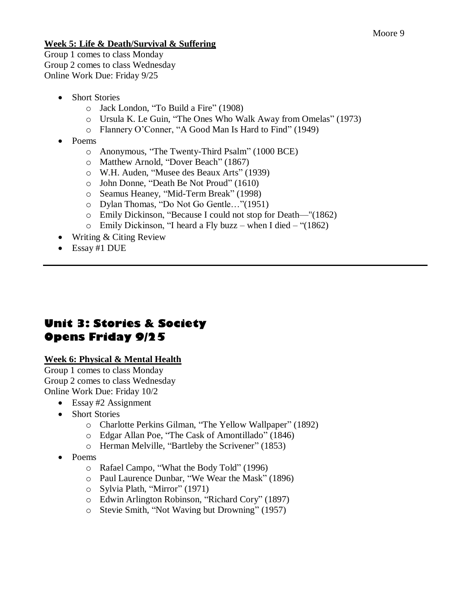#### **Week 5: Life & Death/Survival & Suffering**

Group 1 comes to class Monday Group 2 comes to class Wednesday Online Work Due: Friday 9/25

- Short Stories
	- o Jack London, "To Build a Fire" (1908)
	- o Ursula K. Le Guin, "The Ones Who Walk Away from Omelas" (1973)
	- o Flannery O'Conner, "A Good Man Is Hard to Find" (1949)
- Poems
	- o Anonymous, "The Twenty-Third Psalm" (1000 BCE)
	- o Matthew Arnold, "Dover Beach" (1867)
	- o W.H. Auden, "Musee des Beaux Arts" (1939)
	- o John Donne, "Death Be Not Proud" (1610)
	- o Seamus Heaney, "Mid-Term Break" (1998)
	- o Dylan Thomas, "Do Not Go Gentle…"(1951)
	- o Emily Dickinson, "Because I could not stop for Death—"(1862)
	- $\circ$  Emily Dickinson, "I heard a Fly buzz when I died "(1862)
- Writing & Citing Review
- Essay #1 DUE

## **Unit 3: Stories & Society Opens Friday 9/25**

#### **Week 6: Physical & Mental Health**

Group 1 comes to class Monday Group 2 comes to class Wednesday Online Work Due: Friday 10/2

- Essay #2 Assignment
- Short Stories
	- o Charlotte Perkins Gilman, "The Yellow Wallpaper" (1892)
	- o Edgar Allan Poe, "The Cask of Amontillado" (1846)
	- o Herman Melville, "Bartleby the Scrivener" (1853)
- Poems
	- o Rafael Campo, "What the Body Told" (1996)
	- o Paul Laurence Dunbar, "We Wear the Mask" (1896)
	- o Sylvia Plath, "Mirror" (1971)
	- o Edwin Arlington Robinson, "Richard Cory" (1897)
	- o Stevie Smith, "Not Waving but Drowning" (1957)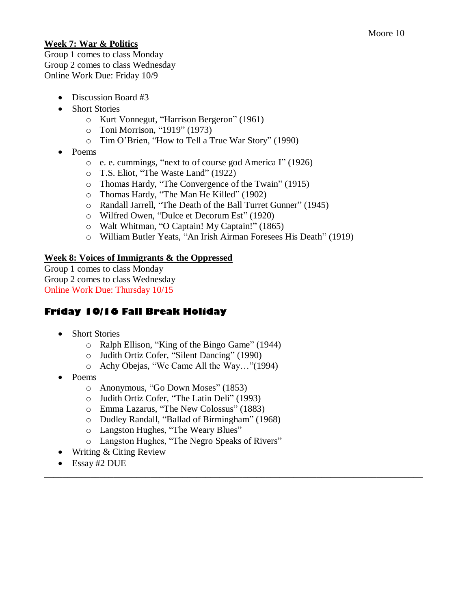#### **Week 7: War & Politics**

Group 1 comes to class Monday Group 2 comes to class Wednesday Online Work Due: Friday 10/9

- Discussion Board #3
- Short Stories
	- o Kurt Vonnegut, "Harrison Bergeron" (1961)
	- o Toni Morrison, "1919" (1973)
	- o Tim O'Brien, "How to Tell a True War Story" (1990)
- Poems
	- o e. e. cummings, "next to of course god America I" (1926)
	- o T.S. Eliot, "The Waste Land" (1922)
	- o Thomas Hardy, "The Convergence of the Twain" (1915)
	- o Thomas Hardy, "The Man He Killed" (1902)
	- o Randall Jarrell, "The Death of the Ball Turret Gunner" (1945)
	- o Wilfred Owen, "Dulce et Decorum Est" (1920)
	- o Walt Whitman, "O Captain! My Captain!" (1865)
	- o William Butler Yeats, "An Irish Airman Foresees His Death" (1919)

#### **Week 8: Voices of Immigrants & the Oppressed**

Group 1 comes to class Monday Group 2 comes to class Wednesday Online Work Due: Thursday 10/15

### **Friday 10/16 Fall Break Holiday**

- Short Stories
	- o Ralph Ellison, "King of the Bingo Game" (1944)
	- o Judith Ortiz Cofer, "Silent Dancing" (1990)
	- o Achy Obejas, "We Came All the Way…"(1994)
- Poems
	- o Anonymous, "Go Down Moses" (1853)
	- o Judith Ortiz Cofer, "The Latin Deli" (1993)
	- o Emma Lazarus, "The New Colossus" (1883)
	- o Dudley Randall, "Ballad of Birmingham" (1968)
	- o Langston Hughes, "The Weary Blues"
	- o Langston Hughes, "The Negro Speaks of Rivers"

\_\_\_\_\_\_\_\_\_\_\_\_\_\_\_\_\_\_\_\_\_\_\_\_\_\_\_\_\_\_\_\_\_\_\_\_\_\_\_\_\_\_\_\_\_\_\_\_\_\_\_\_\_\_\_\_\_\_\_\_\_\_\_\_\_\_\_\_\_\_\_\_\_\_\_\_\_\_\_\_\_\_

- Writing & Citing Review
- Essay #2 DUE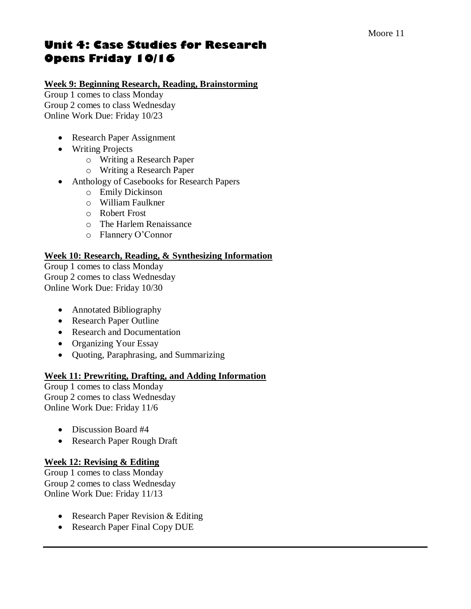## **Unit 4: Case Studies for Research Opens Friday 10/16**

#### **Week 9: Beginning Research, Reading, Brainstorming**

Group 1 comes to class Monday Group 2 comes to class Wednesday Online Work Due: Friday 10/23

- Research Paper Assignment
- Writing Projects
	- o Writing a Research Paper
	- o Writing a Research Paper
- Anthology of Casebooks for Research Papers
	- o Emily Dickinson
	- o William Faulkner
	- o Robert Frost
	- o The Harlem Renaissance
	- o Flannery O'Connor

#### **Week 10: Research, Reading, & Synthesizing Information**

Group 1 comes to class Monday Group 2 comes to class Wednesday Online Work Due: Friday 10/30

- Annotated Bibliography
- Research Paper Outline
- Research and Documentation
- Organizing Your Essay
- Quoting, Paraphrasing, and Summarizing

#### **Week 11: Prewriting, Drafting, and Adding Information**

Group 1 comes to class Monday Group 2 comes to class Wednesday Online Work Due: Friday 11/6

- Discussion Board #4
- Research Paper Rough Draft

#### **Week 12: Revising & Editing**

Group 1 comes to class Monday Group 2 comes to class Wednesday Online Work Due: Friday 11/13

- Research Paper Revision & Editing
- Research Paper Final Copy DUE